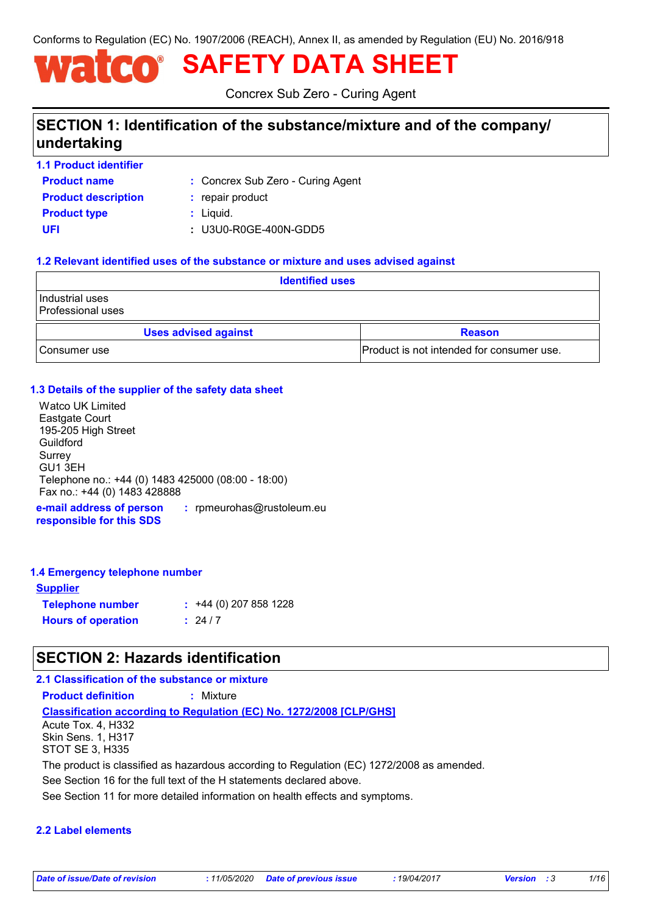Conforms to Regulation (EC) No. 1907/2006 (REACH), Annex II, as amended by Regulation (EU) No. 2016/918

# **SAFETY DATA SHEET**

Concrex Sub Zero - Curing Agent

# **SECTION 1: Identification of the substance/mixture and of the company/ undertaking**

**Product name 1.1 Product identifier**

Concrex Sub Zero - Curing Agent **:**

**Product type**  $\qquad$ **:** Liquid. **Product description :** repair product

**UFI :** U3U0-R0GE-400N-GDD5

#### **1.2 Relevant identified uses of the substance or mixture and uses advised against**

| <b>Identified uses</b>                 |                                           |  |
|----------------------------------------|-------------------------------------------|--|
| l Industrial uses<br>Professional uses |                                           |  |
| <b>Uses advised against</b>            | <b>Reason</b>                             |  |
| Consumer use                           | Product is not intended for consumer use. |  |

#### **1.3 Details of the supplier of the safety data sheet**

**e-mail address of person**  Watco UK Limited Eastgate Court 195-205 High Street Guildford Surrey GU1 3EH Telephone no.: +44 (0) 1483 425000 (08:00 - 18:00) Fax no.: +44 (0) 1483 428888

**responsible for this SDS :** rpmeurohas@rustoleum.eu

#### **1.4 Emergency telephone number**

| <b>Supplier</b>           |                         |
|---------------------------|-------------------------|
| <b>Telephone number</b>   | $: +44(0)$ 207 858 1228 |
| <b>Hours of operation</b> | $\frac{1}{2}$ 24/7      |

# **SECTION 2: Hazards identification**

#### **2.1 Classification of the substance or mixture**

**Product definition :** Mixture

**Classification according to Regulation (EC) No. 1272/2008 [CLP/GHS]**

Acute Tox. 4, H332 Skin Sens. 1, H317 STOT SE 3, H335

The product is classified as hazardous according to Regulation (EC) 1272/2008 as amended.

See Section 16 for the full text of the H statements declared above.

See Section 11 for more detailed information on health effects and symptoms.

#### **2.2 Label elements**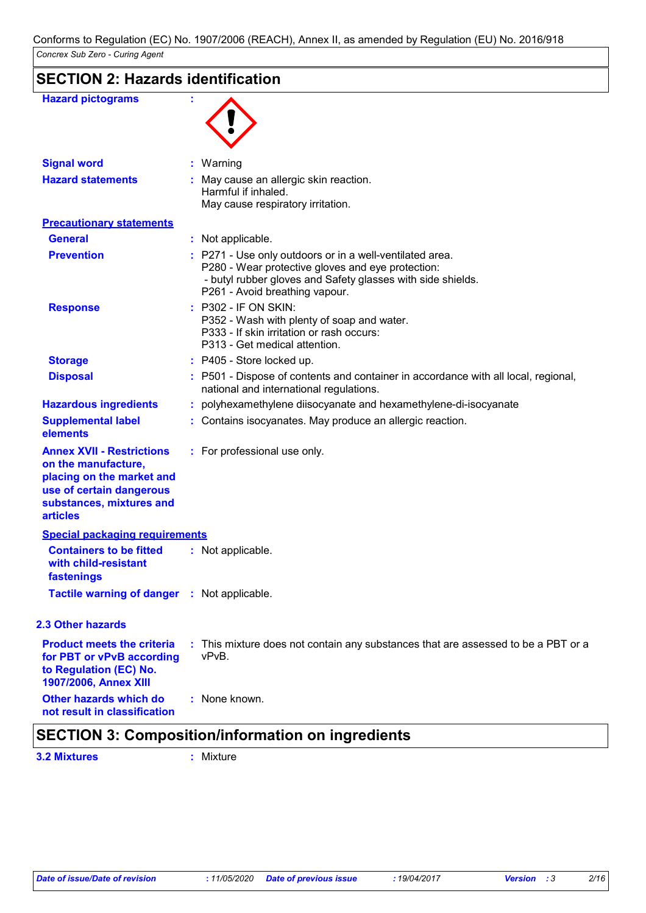| <b>SECTION 2: Hazards identification</b> |  |
|------------------------------------------|--|
|------------------------------------------|--|

| <b>Hazard pictograms</b>                                                                                                                                        |                                                                                                                                                                                                                |
|-----------------------------------------------------------------------------------------------------------------------------------------------------------------|----------------------------------------------------------------------------------------------------------------------------------------------------------------------------------------------------------------|
| <b>Signal word</b>                                                                                                                                              | : Warning                                                                                                                                                                                                      |
| <b>Hazard statements</b>                                                                                                                                        | : May cause an allergic skin reaction.<br>Harmful if inhaled.<br>May cause respiratory irritation.                                                                                                             |
| <b>Precautionary statements</b>                                                                                                                                 |                                                                                                                                                                                                                |
| <b>General</b>                                                                                                                                                  | : Not applicable.                                                                                                                                                                                              |
| <b>Prevention</b>                                                                                                                                               | : P271 - Use only outdoors or in a well-ventilated area.<br>P280 - Wear protective gloves and eye protection:<br>- butyl rubber gloves and Safety glasses with side shields.<br>P261 - Avoid breathing vapour. |
| <b>Response</b>                                                                                                                                                 | : P302 - IF ON SKIN:<br>P352 - Wash with plenty of soap and water.<br>P333 - If skin irritation or rash occurs:<br>P313 - Get medical attention.                                                               |
| <b>Storage</b>                                                                                                                                                  | : P405 - Store locked up.                                                                                                                                                                                      |
| <b>Disposal</b>                                                                                                                                                 | : P501 - Dispose of contents and container in accordance with all local, regional,<br>national and international regulations.                                                                                  |
| <b>Hazardous ingredients</b>                                                                                                                                    | : polyhexamethylene diisocyanate and hexamethylene-di-isocyanate                                                                                                                                               |
| <b>Supplemental label</b><br>elements                                                                                                                           | : Contains isocyanates. May produce an allergic reaction.                                                                                                                                                      |
| <b>Annex XVII - Restrictions</b><br>on the manufacture,<br>placing on the market and<br>use of certain dangerous<br>substances, mixtures and<br><b>articles</b> | : For professional use only.                                                                                                                                                                                   |
| <b>Special packaging requirements</b>                                                                                                                           |                                                                                                                                                                                                                |
| <b>Containers to be fitted</b><br>with child-resistant<br>fastenings                                                                                            | : Not applicable.                                                                                                                                                                                              |
| <b>Tactile warning of danger : Not applicable.</b>                                                                                                              |                                                                                                                                                                                                                |
| <b>2.3 Other hazards</b>                                                                                                                                        |                                                                                                                                                                                                                |
| <b>Product meets the criteria</b><br>for PBT or vPvB according<br>to Regulation (EC) No.<br>1907/2006, Annex XIII                                               | : This mixture does not contain any substances that are assessed to be a PBT or a<br>vPvB.                                                                                                                     |
| Other hazards which do<br>not result in classification                                                                                                          | : None known.                                                                                                                                                                                                  |
|                                                                                                                                                                 | SECTION 3: Composition/information on ingradiants                                                                                                                                                              |

## **SECTION 3: Composition/information on ingredients**

**3.2 Mixtures :** Mixture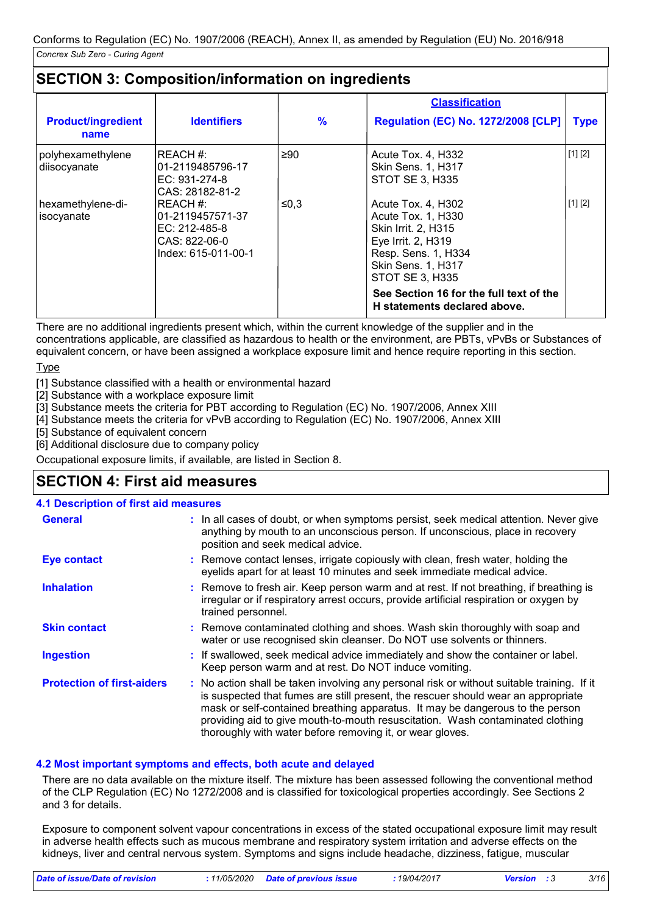# **SECTION 3: Composition/information on ingredients**

|                                   |                                                                                       |               | <b>Classification</b>                                                                                                                                                                                                                   |                                                                             |
|-----------------------------------|---------------------------------------------------------------------------------------|---------------|-----------------------------------------------------------------------------------------------------------------------------------------------------------------------------------------------------------------------------------------|-----------------------------------------------------------------------------|
| <b>Product/ingredient</b><br>name | <b>Identifiers</b>                                                                    | $\frac{9}{6}$ | <b>Regulation (EC) No. 1272/2008 [CLP]</b>                                                                                                                                                                                              | <b>Type</b>                                                                 |
| polyhexamethylene<br>diisocyanate | REACH #:<br>l01-2119485796-17<br>EC: 931-274-8<br>CAS: 28182-81-2                     | $\geq 90$     | Acute Tox. 4, H332<br>Skin Sens. 1, H317<br><b>STOT SE 3, H335</b>                                                                                                                                                                      | [1] [2]                                                                     |
| hexamethylene-di-<br>isocyanate   | REACH #:<br>01-2119457571-37<br>EC: 212-485-8<br>CAS: 822-06-0<br>Index: 615-011-00-1 | ≤0,3          | Acute Tox. 4, H302<br>Acute Tox. 1, H330<br>Skin Irrit. 2, H315<br>Eye Irrit. 2, H319<br>Resp. Sens. 1, H334<br>Skin Sens. 1, H317<br><b>STOT SE 3, H335</b><br>See Section 16 for the full text of the<br>H statements declared above. | $\left[ \begin{smallmatrix} 1 \end{smallmatrix} \right]$ $\left[ 2 \right]$ |

There are no additional ingredients present which, within the current knowledge of the supplier and in the concentrations applicable, are classified as hazardous to health or the environment, are PBTs, vPvBs or Substances of equivalent concern, or have been assigned a workplace exposure limit and hence require reporting in this section.

Type

[1] Substance classified with a health or environmental hazard

[2] Substance with a workplace exposure limit

[3] Substance meets the criteria for PBT according to Regulation (EC) No. 1907/2006, Annex XIII

[4] Substance meets the criteria for vPvB according to Regulation (EC) No. 1907/2006, Annex XIII

[5] Substance of equivalent concern

[6] Additional disclosure due to company policy

Occupational exposure limits, if available, are listed in Section 8.

# **SECTION 4: First aid measures**

#### **4.1 Description of first aid measures**

| <b>General</b>                    | : In all cases of doubt, or when symptoms persist, seek medical attention. Never give<br>anything by mouth to an unconscious person. If unconscious, place in recovery<br>position and seek medical advice.                                                                                                                                                                                                     |
|-----------------------------------|-----------------------------------------------------------------------------------------------------------------------------------------------------------------------------------------------------------------------------------------------------------------------------------------------------------------------------------------------------------------------------------------------------------------|
| <b>Eye contact</b>                | : Remove contact lenses, irrigate copiously with clean, fresh water, holding the<br>eyelids apart for at least 10 minutes and seek immediate medical advice.                                                                                                                                                                                                                                                    |
| <b>Inhalation</b>                 | : Remove to fresh air. Keep person warm and at rest. If not breathing, if breathing is<br>irregular or if respiratory arrest occurs, provide artificial respiration or oxygen by<br>trained personnel.                                                                                                                                                                                                          |
| <b>Skin contact</b>               | : Remove contaminated clothing and shoes. Wash skin thoroughly with soap and<br>water or use recognised skin cleanser. Do NOT use solvents or thinners.                                                                                                                                                                                                                                                         |
| <b>Ingestion</b>                  | : If swallowed, seek medical advice immediately and show the container or label.<br>Keep person warm and at rest. Do NOT induce vomiting.                                                                                                                                                                                                                                                                       |
| <b>Protection of first-aiders</b> | : No action shall be taken involving any personal risk or without suitable training. If it<br>is suspected that fumes are still present, the rescuer should wear an appropriate<br>mask or self-contained breathing apparatus. It may be dangerous to the person<br>providing aid to give mouth-to-mouth resuscitation. Wash contaminated clothing<br>thoroughly with water before removing it, or wear gloves. |

#### **4.2 Most important symptoms and effects, both acute and delayed**

There are no data available on the mixture itself. The mixture has been assessed following the conventional method of the CLP Regulation (EC) No 1272/2008 and is classified for toxicological properties accordingly. See Sections 2 and 3 for details.

Exposure to component solvent vapour concentrations in excess of the stated occupational exposure limit may result in adverse health effects such as mucous membrane and respiratory system irritation and adverse effects on the kidneys, liver and central nervous system. Symptoms and signs include headache, dizziness, fatigue, muscular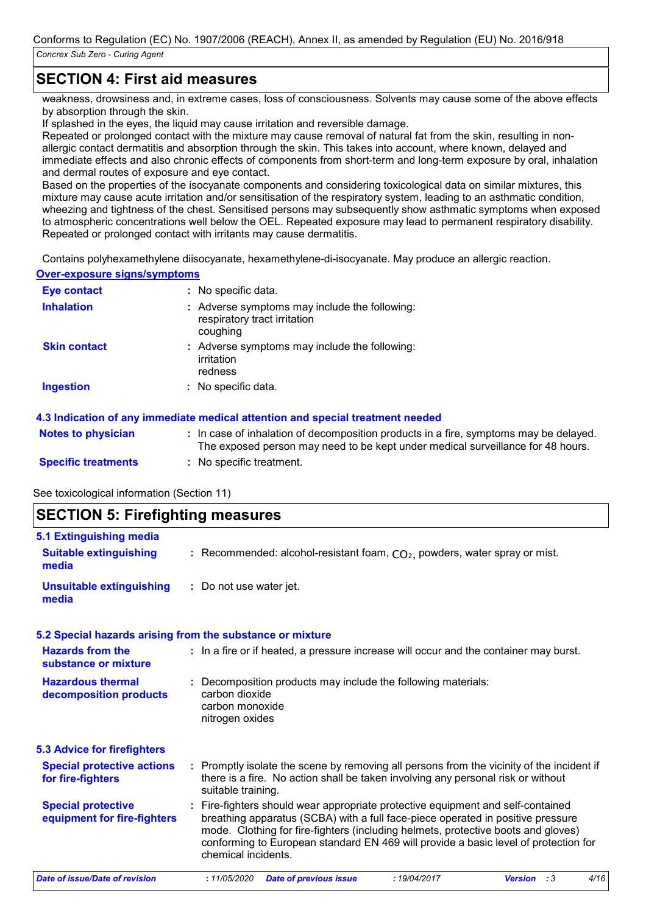# **SECTION 4: First aid measures**

weakness, drowsiness and, in extreme cases, loss of consciousness. Solvents may cause some of the above effects by absorption through the skin.

If splashed in the eyes, the liquid may cause irritation and reversible damage.

Repeated or prolonged contact with the mixture may cause removal of natural fat from the skin, resulting in nonallergic contact dermatitis and absorption through the skin. This takes into account, where known, delayed and immediate effects and also chronic effects of components from short-term and long-term exposure by oral, inhalation and dermal routes of exposure and eye contact.

Based on the properties of the isocyanate components and considering toxicological data on similar mixtures, this mixture may cause acute irritation and/or sensitisation of the respiratory system, leading to an asthmatic condition, wheezing and tightness of the chest. Sensitised persons may subsequently show asthmatic symptoms when exposed to atmospheric concentrations well below the OEL. Repeated exposure may lead to permanent respiratory disability. Repeated or prolonged contact with irritants may cause dermatitis.

Contains polyhexamethylene diisocyanate, hexamethylene-di-isocyanate. May produce an allergic reaction.

**Over-exposure signs/symptoms**

| <b>Eye contact</b>  | : No specific data.                                                                       |
|---------------------|-------------------------------------------------------------------------------------------|
| <b>Inhalation</b>   | : Adverse symptoms may include the following:<br>respiratory tract irritation<br>coughing |
| <b>Skin contact</b> | : Adverse symptoms may include the following:<br>irritation<br>redness                    |
| <b>Ingestion</b>    | : No specific data.                                                                       |

#### **4.3 Indication of any immediate medical attention and special treatment needed**

| <b>Notes to physician</b>  | : In case of inhalation of decomposition products in a fire, symptoms may be delayed.<br>The exposed person may need to be kept under medical surveillance for 48 hours. |
|----------------------------|--------------------------------------------------------------------------------------------------------------------------------------------------------------------------|
| <b>Specific treatments</b> | : No specific treatment.                                                                                                                                                 |

See toxicological information (Section 11)

# **SECTION 5: Firefighting measures**

| 5.1 Extinguishing media                                  |                                                                                                                                                                                                                                                                                                                                                                       |  |  |
|----------------------------------------------------------|-----------------------------------------------------------------------------------------------------------------------------------------------------------------------------------------------------------------------------------------------------------------------------------------------------------------------------------------------------------------------|--|--|
| <b>Suitable extinguishing</b><br>media                   | : Recommended: alcohol-resistant foam, $CO2$ , powders, water spray or mist.                                                                                                                                                                                                                                                                                          |  |  |
| <b>Unsuitable extinguishing</b><br>media                 | : Do not use water jet.                                                                                                                                                                                                                                                                                                                                               |  |  |
|                                                          | 5.2 Special hazards arising from the substance or mixture                                                                                                                                                                                                                                                                                                             |  |  |
| <b>Hazards from the</b><br>substance or mixture          | : In a fire or if heated, a pressure increase will occur and the container may burst.                                                                                                                                                                                                                                                                                 |  |  |
| <b>Hazardous thermal</b><br>decomposition products       | : Decomposition products may include the following materials:<br>carbon dioxide<br>carbon monoxide<br>nitrogen oxides                                                                                                                                                                                                                                                 |  |  |
| <b>5.3 Advice for firefighters</b>                       |                                                                                                                                                                                                                                                                                                                                                                       |  |  |
| <b>Special protective actions</b><br>for fire-fighters   | : Promptly isolate the scene by removing all persons from the vicinity of the incident if<br>there is a fire. No action shall be taken involving any personal risk or without<br>suitable training.                                                                                                                                                                   |  |  |
| <b>Special protective</b><br>equipment for fire-fighters | : Fire-fighters should wear appropriate protective equipment and self-contained<br>breathing apparatus (SCBA) with a full face-piece operated in positive pressure<br>mode. Clothing for fire-fighters (including helmets, protective boots and gloves)<br>conforming to European standard EN 469 will provide a basic level of protection for<br>chemical incidents. |  |  |
|                                                          | $\lambda$ and $\lambda$ and $\lambda$ and $\lambda$                                                                                                                                                                                                                                                                                                                   |  |  |

*Date of issue/Date of revision* **:** *11/05/2020 Date of previous issue : 19/04/2017 Version : 3 4/16*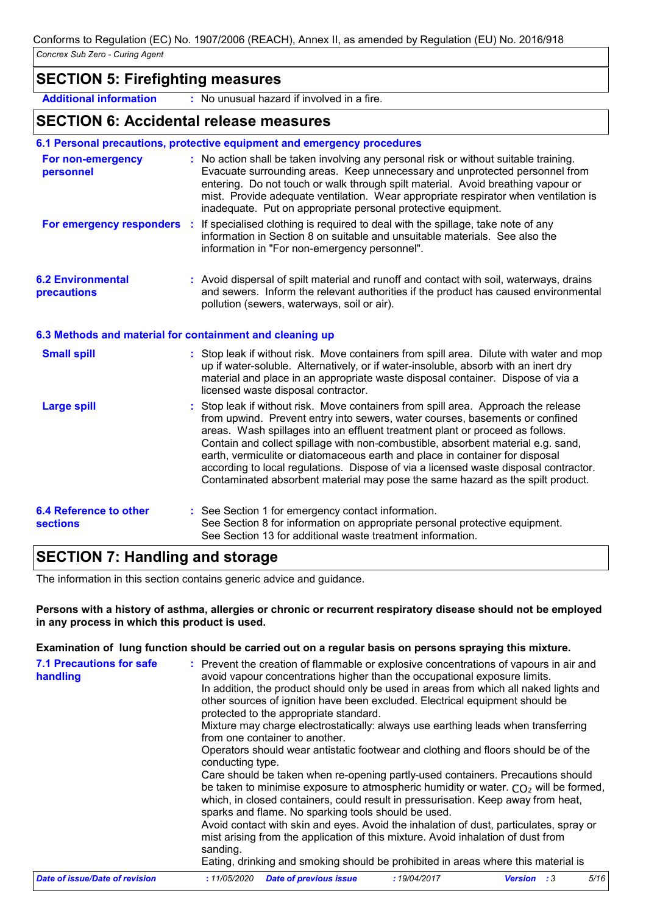## **SECTION 5: Firefighting measures**

**Additional information :** No unusual hazard if involved in a fire.

## **SECTION 6: Accidental release measures**

#### **6.1 Personal precautions, protective equipment and emergency procedures**

| For non-emergency<br>personnel                           | : No action shall be taken involving any personal risk or without suitable training.<br>Evacuate surrounding areas. Keep unnecessary and unprotected personnel from<br>entering. Do not touch or walk through spilt material. Avoid breathing vapour or<br>mist. Provide adequate ventilation. Wear appropriate respirator when ventilation is<br>inadequate. Put on appropriate personal protective equipment.                                                                                                                                                                                   |
|----------------------------------------------------------|---------------------------------------------------------------------------------------------------------------------------------------------------------------------------------------------------------------------------------------------------------------------------------------------------------------------------------------------------------------------------------------------------------------------------------------------------------------------------------------------------------------------------------------------------------------------------------------------------|
|                                                          | For emergency responders : If specialised clothing is required to deal with the spillage, take note of any<br>information in Section 8 on suitable and unsuitable materials. See also the<br>information in "For non-emergency personnel".                                                                                                                                                                                                                                                                                                                                                        |
| <b>6.2 Environmental</b><br>precautions                  | : Avoid dispersal of spilt material and runoff and contact with soil, waterways, drains<br>and sewers. Inform the relevant authorities if the product has caused environmental<br>pollution (sewers, waterways, soil or air).                                                                                                                                                                                                                                                                                                                                                                     |
| 6.3 Methods and material for containment and cleaning up |                                                                                                                                                                                                                                                                                                                                                                                                                                                                                                                                                                                                   |
| <b>Small spill</b>                                       | : Stop leak if without risk. Move containers from spill area. Dilute with water and mop<br>up if water-soluble. Alternatively, or if water-insoluble, absorb with an inert dry<br>material and place in an appropriate waste disposal container. Dispose of via a<br>licensed waste disposal contractor.                                                                                                                                                                                                                                                                                          |
| <b>Large spill</b>                                       | : Stop leak if without risk. Move containers from spill area. Approach the release<br>from upwind. Prevent entry into sewers, water courses, basements or confined<br>areas. Wash spillages into an effluent treatment plant or proceed as follows.<br>Contain and collect spillage with non-combustible, absorbent material e.g. sand,<br>earth, vermiculite or diatomaceous earth and place in container for disposal<br>according to local regulations. Dispose of via a licensed waste disposal contractor.<br>Contaminated absorbent material may pose the same hazard as the spilt product. |

| 6.4 Reference to other | : See Section 1 for emergency contact information.                          |
|------------------------|-----------------------------------------------------------------------------|
| <b>sections</b>        | See Section 8 for information on appropriate personal protective equipment. |
|                        | See Section 13 for additional waste treatment information.                  |

# **SECTION 7: Handling and storage**

The information in this section contains generic advice and guidance.

#### **Persons with a history of asthma, allergies or chronic or recurrent respiratory disease should not be employed in any process in which this product is used.**

#### **Examination of lung function should be carried out on a regular basis on persons spraying this mixture.**

| <b>7.1 Precautions for safe</b><br>handling | : Prevent the creation of flammable or explosive concentrations of vapours in air and<br>avoid vapour concentrations higher than the occupational exposure limits.<br>In addition, the product should only be used in areas from which all naked lights and<br>other sources of ignition have been excluded. Electrical equipment should be<br>protected to the appropriate standard.<br>Mixture may charge electrostatically: always use earthing leads when transferring<br>from one container to another.<br>Operators should wear antistatic footwear and clothing and floors should be of the<br>conducting type.<br>Care should be taken when re-opening partly-used containers. Precautions should<br>be taken to minimise exposure to atmospheric humidity or water. $CO2$ will be formed,<br>which, in closed containers, could result in pressurisation. Keep away from heat,<br>sparks and flame. No sparking tools should be used.<br>Avoid contact with skin and eyes. Avoid the inhalation of dust, particulates, spray or<br>mist arising from the application of this mixture. Avoid inhalation of dust from<br>sanding.<br>Eating, drinking and smoking should be prohibited in areas where this material is |
|---------------------------------------------|-------------------------------------------------------------------------------------------------------------------------------------------------------------------------------------------------------------------------------------------------------------------------------------------------------------------------------------------------------------------------------------------------------------------------------------------------------------------------------------------------------------------------------------------------------------------------------------------------------------------------------------------------------------------------------------------------------------------------------------------------------------------------------------------------------------------------------------------------------------------------------------------------------------------------------------------------------------------------------------------------------------------------------------------------------------------------------------------------------------------------------------------------------------------------------------------------------------------------------|
| Date of issue/Date of revision              | 5/16<br><b>Date of previous issue</b><br>:19/04/2017<br>:11/05/2020<br><b>Version</b> : 3                                                                                                                                                                                                                                                                                                                                                                                                                                                                                                                                                                                                                                                                                                                                                                                                                                                                                                                                                                                                                                                                                                                                     |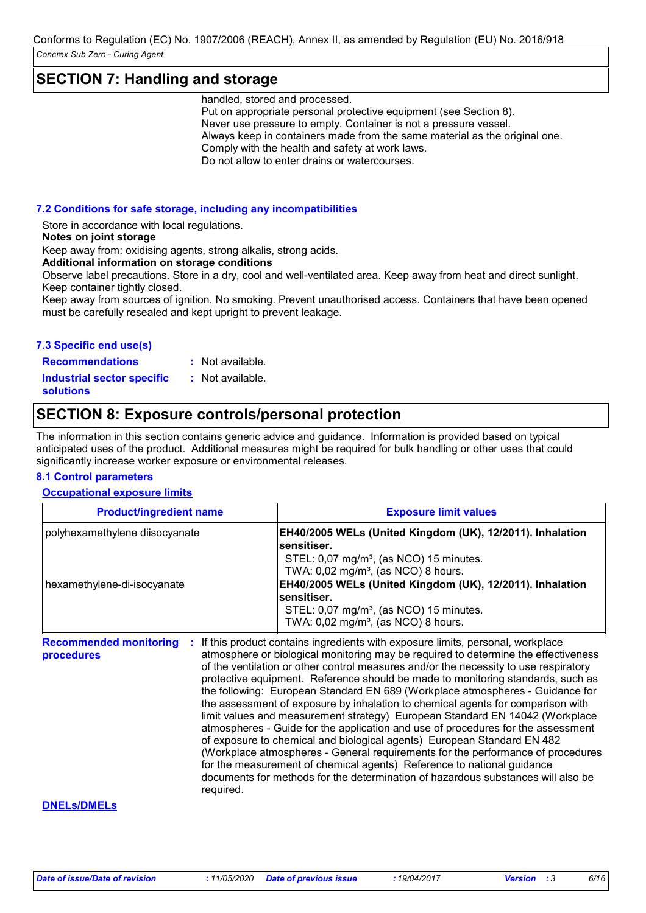## **SECTION 7: Handling and storage**

handled, stored and processed.

Put on appropriate personal protective equipment (see Section 8). Never use pressure to empty. Container is not a pressure vessel. Always keep in containers made from the same material as the original one. Comply with the health and safety at work laws. Do not allow to enter drains or watercourses.

**7.2 Conditions for safe storage, including any incompatibilities**

Store in accordance with local regulations.

**Notes on joint storage**

Keep away from: oxidising agents, strong alkalis, strong acids.

**Additional information on storage conditions**

Observe label precautions. Store in a dry, cool and well-ventilated area. Keep away from heat and direct sunlight. Keep container tightly closed.

Keep away from sources of ignition. No smoking. Prevent unauthorised access. Containers that have been opened must be carefully resealed and kept upright to prevent leakage.

#### **7.3 Specific end use(s)**

**Recommendations : Industrial sector specific : solutions**

# **SECTION 8: Exposure controls/personal protection**

: Not available. : Not available.

The information in this section contains generic advice and guidance. Information is provided based on typical anticipated uses of the product. Additional measures might be required for bulk handling or other uses that could significantly increase worker exposure or environmental releases.

#### **8.1 Control parameters**

#### **Occupational exposure limits**

| <b>Product/ingredient name</b>                                | <b>Exposure limit values</b>                                                                                                                                                                                                                                                                                                                                                                                                                                                                                                                                                                                                                                                                                                                 |
|---------------------------------------------------------------|----------------------------------------------------------------------------------------------------------------------------------------------------------------------------------------------------------------------------------------------------------------------------------------------------------------------------------------------------------------------------------------------------------------------------------------------------------------------------------------------------------------------------------------------------------------------------------------------------------------------------------------------------------------------------------------------------------------------------------------------|
| polyhexamethylene diisocyanate<br>hexamethylene-di-isocyanate | EH40/2005 WELs (United Kingdom (UK), 12/2011). Inhalation<br>sensitiser.<br>STEL: 0,07 mg/m <sup>3</sup> , (as NCO) 15 minutes.<br>TWA: $0.02$ mg/m <sup>3</sup> , (as NCO) 8 hours.<br>EH40/2005 WELs (United Kingdom (UK), 12/2011). Inhalation<br>sensitiser.<br>STEL: 0,07 mg/m <sup>3</sup> , (as NCO) 15 minutes.                                                                                                                                                                                                                                                                                                                                                                                                                      |
| <b>Recommended monitoring</b><br>procedures                   | TWA: $0.02$ mg/m <sup>3</sup> , (as NCO) 8 hours.<br>If this product contains ingredients with exposure limits, personal, workplace<br>atmosphere or biological monitoring may be required to determine the effectiveness<br>of the ventilation or other control measures and/or the necessity to use respiratory<br>protective equipment. Reference should be made to monitoring standards, such as<br>the following: European Standard EN 689 (Workplace atmospheres - Guidance for<br>the assessment of exposure by inhalation to chemical agents for comparison with<br>limit values and measurement strategy) European Standard EN 14042 (Workplace<br>atmospheres - Guide for the application and use of procedures for the assessment |
|                                                               | of exposure to chemical and biological agents) European Standard EN 482<br>(Workplace atmospheres - General requirements for the performance of procedures<br>for the measurement of chemical agents) Reference to national guidance<br>documents for methods for the determination of hazardous substances will also be                                                                                                                                                                                                                                                                                                                                                                                                                     |

#### **DNELs/DMELs**

*Date of issue/Date of revision* **:** *11/05/2020 Date of previous issue : 19/04/2017 Version : 3 6/16*

required.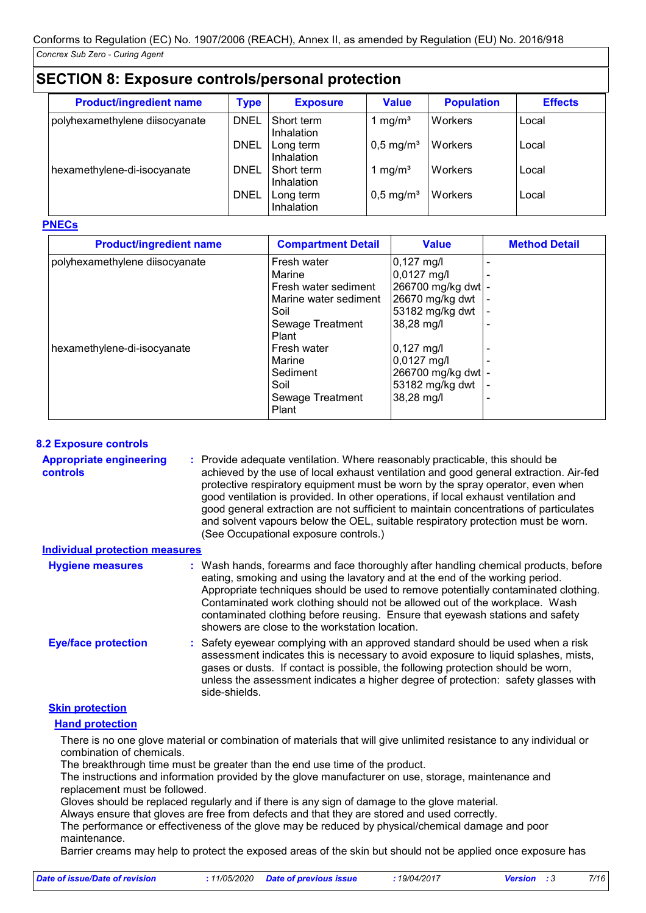| <b>SECTION 8: Exposure controls/personal protection</b> |             |                                 |                         |                   |                |
|---------------------------------------------------------|-------------|---------------------------------|-------------------------|-------------------|----------------|
| <b>Product/ingredient name</b>                          | <b>Type</b> | <b>Exposure</b>                 | <b>Value</b>            | <b>Population</b> | <b>Effects</b> |
| polyhexamethylene diisocyanate                          | <b>DNEL</b> | Short term<br><b>Inhalation</b> | mg/m <sup>3</sup>       | Workers           | Local          |
|                                                         | <b>DNEL</b> | Long term<br>Inhalation         | $0,5$ mg/m <sup>3</sup> | Workers           | Local          |
| hexamethylene-di-isocyanate                             | DNEL        | Short term<br><b>Inhalation</b> | 1 mg/m <sup>3</sup>     | Workers           | Local          |
|                                                         | <b>DNEL</b> | Long term<br>Inhalation         | $0.5$ mg/m <sup>3</sup> | Workers           | Local          |

#### **PNECs**

| <b>Product/ingredient name</b> | <b>Compartment Detail</b>                             | <b>Value</b>                                              | <b>Method Detail</b> |
|--------------------------------|-------------------------------------------------------|-----------------------------------------------------------|----------------------|
| polyhexamethylene diisocyanate | Fresh water<br>Marine                                 | $ 0,127 \text{ mg/}$<br>$0,0127$ mg/l                     |                      |
|                                | Fresh water sediment<br>Marine water sediment<br>Soil | 266700 mg/kg dwt  -<br>26670 mg/kg dwt<br>53182 mg/kg dwt |                      |
|                                | Sewage Treatment<br>Plant                             | 38,28 mg/l                                                |                      |
| hexamethylene-di-isocyanate    | Fresh water<br>Marine<br>Sediment                     | 0,127 mg/l<br>$0,0127$ mg/l                               |                      |
|                                | Soil<br>Sewage Treatment                              | 266700 mg/kg dwt -<br>53182 mg/kg dwt<br>38,28 mg/l       |                      |
|                                | Plant                                                 |                                                           |                      |

#### **8.2 Exposure controls**

| <b>Appropriate engineering</b><br>controls | : Provide adequate ventilation. Where reasonably practicable, this should be<br>achieved by the use of local exhaust ventilation and good general extraction. Air-fed<br>protective respiratory equipment must be worn by the spray operator, even when<br>good ventilation is provided. In other operations, if local exhaust ventilation and<br>good general extraction are not sufficient to maintain concentrations of particulates<br>and solvent vapours below the OEL, suitable respiratory protection must be worn.<br>(See Occupational exposure controls.) |
|--------------------------------------------|----------------------------------------------------------------------------------------------------------------------------------------------------------------------------------------------------------------------------------------------------------------------------------------------------------------------------------------------------------------------------------------------------------------------------------------------------------------------------------------------------------------------------------------------------------------------|
|--------------------------------------------|----------------------------------------------------------------------------------------------------------------------------------------------------------------------------------------------------------------------------------------------------------------------------------------------------------------------------------------------------------------------------------------------------------------------------------------------------------------------------------------------------------------------------------------------------------------------|

| <b>Individual protection measures</b> |                                                                                                                                                                                                                                                                                                                                                                                                                                                                             |
|---------------------------------------|-----------------------------------------------------------------------------------------------------------------------------------------------------------------------------------------------------------------------------------------------------------------------------------------------------------------------------------------------------------------------------------------------------------------------------------------------------------------------------|
| <b>Hygiene measures</b>               | : Wash hands, forearms and face thoroughly after handling chemical products, before<br>eating, smoking and using the lavatory and at the end of the working period.<br>Appropriate techniques should be used to remove potentially contaminated clothing.<br>Contaminated work clothing should not be allowed out of the workplace. Wash<br>contaminated clothing before reusing. Ensure that eyewash stations and safety<br>showers are close to the workstation location. |
| <b>Eye/face protection</b>            | : Safety eyewear complying with an approved standard should be used when a risk<br>assessment indicates this is necessary to avoid exposure to liquid splashes, mists,<br>gases or dusts. If contact is possible, the following protection should be worn,<br>unless the assessment indicates a higher degree of protection: safety glasses with<br>side-shields.                                                                                                           |

#### **Skin protection**

**Hand protection**

There is no one glove material or combination of materials that will give unlimited resistance to any individual or combination of chemicals.

The breakthrough time must be greater than the end use time of the product.

The instructions and information provided by the glove manufacturer on use, storage, maintenance and replacement must be followed.

Gloves should be replaced regularly and if there is any sign of damage to the glove material.

Always ensure that gloves are free from defects and that they are stored and used correctly.

The performance or effectiveness of the glove may be reduced by physical/chemical damage and poor maintenance.

Barrier creams may help to protect the exposed areas of the skin but should not be applied once exposure has

| Date of issue/Date of revision | : 11/05/2020 Date of previous issue | 19/04/2017<br><b>Version</b> : 3 |  |  | 7/16 |
|--------------------------------|-------------------------------------|----------------------------------|--|--|------|
|--------------------------------|-------------------------------------|----------------------------------|--|--|------|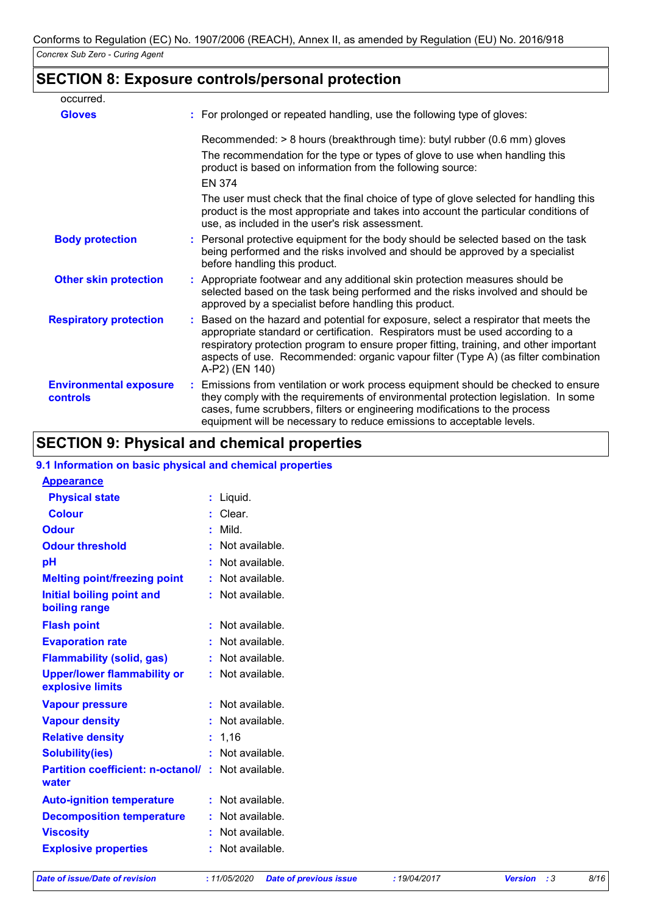# **SECTION 8: Exposure controls/personal protection**

| occurred.                                 |                                                                                                                                                                                                                                                                                                                                                                          |
|-------------------------------------------|--------------------------------------------------------------------------------------------------------------------------------------------------------------------------------------------------------------------------------------------------------------------------------------------------------------------------------------------------------------------------|
| <b>Gloves</b>                             | : For prolonged or repeated handling, use the following type of gloves:                                                                                                                                                                                                                                                                                                  |
|                                           | Recommended: > 8 hours (breakthrough time): butyl rubber (0.6 mm) gloves                                                                                                                                                                                                                                                                                                 |
|                                           | The recommendation for the type or types of glove to use when handling this<br>product is based on information from the following source:                                                                                                                                                                                                                                |
|                                           | <b>EN 374</b>                                                                                                                                                                                                                                                                                                                                                            |
|                                           | The user must check that the final choice of type of glove selected for handling this<br>product is the most appropriate and takes into account the particular conditions of<br>use, as included in the user's risk assessment.                                                                                                                                          |
| <b>Body protection</b>                    | : Personal protective equipment for the body should be selected based on the task<br>being performed and the risks involved and should be approved by a specialist<br>before handling this product.                                                                                                                                                                      |
| <b>Other skin protection</b>              | : Appropriate footwear and any additional skin protection measures should be<br>selected based on the task being performed and the risks involved and should be<br>approved by a specialist before handling this product.                                                                                                                                                |
| <b>Respiratory protection</b>             | : Based on the hazard and potential for exposure, select a respirator that meets the<br>appropriate standard or certification. Respirators must be used according to a<br>respiratory protection program to ensure proper fitting, training, and other important<br>aspects of use. Recommended: organic vapour filter (Type A) (as filter combination<br>A-P2) (EN 140) |
| <b>Environmental exposure</b><br>controls | : Emissions from ventilation or work process equipment should be checked to ensure<br>they comply with the requirements of environmental protection legislation. In some<br>cases, fume scrubbers, filters or engineering modifications to the process<br>equipment will be necessary to reduce emissions to acceptable levels.                                          |

# **SECTION 9: Physical and chemical properties**

# **9.1 Information on basic physical and chemical properties Appearance**

| <b>Physical state</b>                                  |    | Liquid.        |
|--------------------------------------------------------|----|----------------|
| <b>Colour</b>                                          |    | Clear.         |
| <b>Odour</b>                                           | ř. | Mild.          |
| <b>Odour threshold</b>                                 | ۰  | Not available. |
| pH                                                     |    | Not available. |
| <b>Melting point/freezing point</b>                    | t  | Not available. |
| <b>Initial boiling point and</b><br>boiling range      | ÷  | Not available. |
| <b>Flash point</b>                                     | ÷  | Not available. |
| <b>Evaporation rate</b>                                | ř. | Not available. |
| <b>Flammability (solid, gas)</b>                       | ř. | Not available. |
| <b>Upper/lower flammability or</b><br>explosive limits | ÷  | Not available. |
| <b>Vapour pressure</b>                                 | ÷  | Not available. |
| <b>Vapour density</b>                                  |    | Not available. |
| <b>Relative density</b>                                |    | 1,16           |
| <b>Solubility(ies)</b>                                 | ř. | Not available. |
| <b>Partition coefficient: n-octanol/</b><br>water      | ÷  | Not available. |
| <b>Auto-ignition temperature</b>                       | ř. | Not available. |
| <b>Decomposition temperature</b>                       |    | Not available. |
| <b>Viscosity</b>                                       | ř. | Not available. |
| <b>Explosive properties</b>                            | ř. | Not available. |
|                                                        |    |                |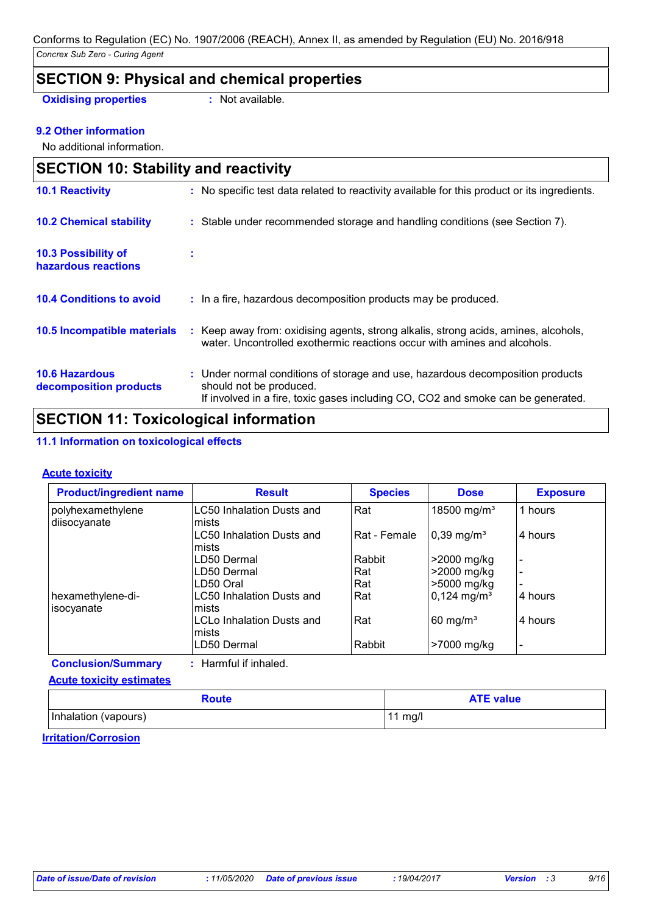# **SECTION 9: Physical and chemical properties Oxidising properties** : Not available.

### **9.2 Other information**

No additional information.

| <b>SECTION 10: Stability and reactivity</b>       |                                                                                                                                                                                               |
|---------------------------------------------------|-----------------------------------------------------------------------------------------------------------------------------------------------------------------------------------------------|
| <b>10.1 Reactivity</b>                            | : No specific test data related to reactivity available for this product or its ingredients.                                                                                                  |
| <b>10.2 Chemical stability</b>                    | : Stable under recommended storage and handling conditions (see Section 7).                                                                                                                   |
| <b>10.3 Possibility of</b><br>hazardous reactions | ÷                                                                                                                                                                                             |
| <b>10.4 Conditions to avoid</b>                   | : In a fire, hazardous decomposition products may be produced.                                                                                                                                |
| 10.5 Incompatible materials                       | Keep away from: oxidising agents, strong alkalis, strong acids, amines, alcohols,<br>water. Uncontrolled exothermic reactions occur with amines and alcohols.                                 |
| <b>10.6 Hazardous</b><br>decomposition products   | : Under normal conditions of storage and use, hazardous decomposition products<br>should not be produced.<br>If involved in a fire, toxic gases including CO, CO2 and smoke can be generated. |

# **SECTION 11: Toxicological information**

#### **11.1 Information on toxicological effects**

#### **Acute toxicity**

| <b>Product/ingredient name</b>  | <b>Result</b>                               | <b>Species</b> | <b>Dose</b>               | <b>Exposure</b> |
|---------------------------------|---------------------------------------------|----------------|---------------------------|-----------------|
| polyhexamethylene               | <b>LC50 Inhalation Dusts and</b>            | Rat            | 18500 mg/m <sup>3</sup>   | 1 hours         |
| diisocyanate                    | mists<br>LC50 Inhalation Dusts and<br>mists | Rat - Female   | $0,39 \text{ mg/m}^3$     | 4 hours         |
|                                 | LD50 Dermal                                 | Rabbit         | >2000 mg/kg               |                 |
|                                 | LD50 Dermal                                 | Rat            | >2000 mg/kg               |                 |
|                                 | LD50 Oral                                   | Rat            | >5000 mg/kg               |                 |
| hexamethylene-di-<br>isocyanate | LC50 Inhalation Dusts and<br>lmists         | Rat            | $0,124$ mg/m <sup>3</sup> | 4 hours         |
|                                 | <b>LCLo Inhalation Dusts and</b><br>mists   | Rat            | $60 \text{ mg/m}^3$       | 4 hours         |
|                                 | LD50 Dermal                                 | Rabbit         | >7000 mg/kg               |                 |

**Conclusion/Summary :** Harmful if inhaled.

#### **Acute toxicity estimates**

| <b>Route</b>         | <b>ATE value</b>  |
|----------------------|-------------------|
| Inhalation (vapours) | $11 \text{ mg/l}$ |

#### **Irritation/Corrosion**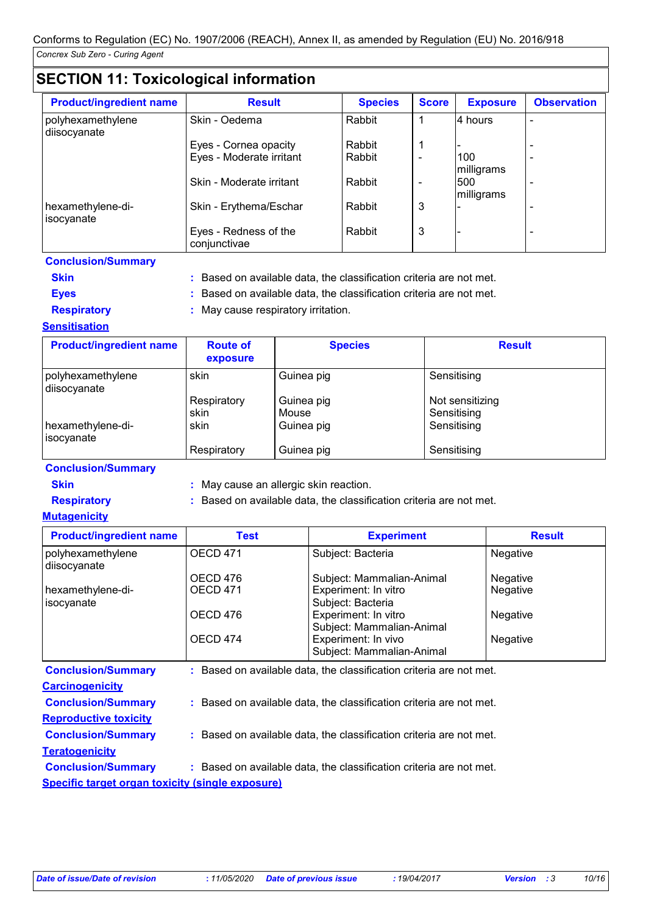# **SECTION 11: Toxicological information**

| <b>Product/ingredient name</b>    | <b>Result</b>                         | <b>Species</b> | <b>Score</b> | <b>Exposure</b>   | <b>Observation</b> |
|-----------------------------------|---------------------------------------|----------------|--------------|-------------------|--------------------|
| polyhexamethylene<br>diisocyanate | Skin - Oedema                         | Rabbit         |              | 4 hours           |                    |
|                                   | Eyes - Cornea opacity                 | Rabbit         |              |                   |                    |
|                                   | Eyes - Moderate irritant              | Rabbit         |              | 100<br>milligrams |                    |
|                                   | Skin - Moderate irritant              | Rabbit         |              | 500<br>milligrams |                    |
| hexamethylene-di-<br>isocyanate   | Skin - Erythema/Eschar                | Rabbit         | 3            |                   |                    |
|                                   | Eyes - Redness of the<br>conjunctivae | Rabbit         | 3            |                   |                    |

**Conclusion/Summary**

**Skin Example 2018 :** Based on available data, the classification criteria are not met.

**Eyes :** Based on available data, the classification criteria are not met.

**Respiratory :** May cause respiratory irritation.

#### **Sensitisation**

| <b>Product/ingredient name</b>    | <b>Route of</b><br>exposure | <b>Species</b>      | <b>Result</b>                  |
|-----------------------------------|-----------------------------|---------------------|--------------------------------|
| polyhexamethylene<br>diisocyanate | skin                        | Guinea pig          | Sensitising                    |
|                                   | Respiratory<br>skin         | Guinea pig<br>Mouse | Not sensitizing<br>Sensitising |
| hexamethylene-di-<br>isocyanate   | skin                        | Guinea pig          | Sensitising                    |
|                                   | Respiratory                 | Guinea pig          | Sensitising                    |

**Conclusion/Summary**

**Skin :** May cause an allergic skin reaction.

**Respiratory :** Based on available data, the classification criteria are not met.

#### **Mutagenicity**

**Teratogenicity**

| <b>Product/ingredient name</b>    | Test            | <b>Experiment</b>                                                   | <b>Result</b>   |
|-----------------------------------|-----------------|---------------------------------------------------------------------|-----------------|
| polyhexamethylene<br>diisocyanate | <b>OECD 471</b> | Subject: Bacteria                                                   | Negative        |
|                                   | OECD 476        | Subject: Mammalian-Animal                                           | <b>Negative</b> |
| hexamethylene-di-<br>isocyanate   | <b>OECD 471</b> | Experiment: In vitro<br>Subject: Bacteria                           | Negative        |
|                                   | OECD 476        | Experiment: In vitro<br>Subject: Mammalian-Animal                   | <b>Negative</b> |
|                                   | OECD 474        | Experiment: In vivo<br>Subject: Mammalian-Animal                    | Negative        |
| <b>Conclusion/Summary</b>         |                 | : Based on available data, the classification criteria are not met. |                 |
| <b>Carcinogenicity</b>            |                 |                                                                     |                 |
| <b>Conclusion/Summary</b>         |                 | : Based on available data, the classification criteria are not met. |                 |
| <b>Reproductive toxicity</b>      |                 |                                                                     |                 |

#### **Conclusion/Summary :** Based on available data, the classification criteria are not met.

**Conclusion/Summary :** Based on available data, the classification criteria are not met.

**Specific target organ toxicity (single exposure)**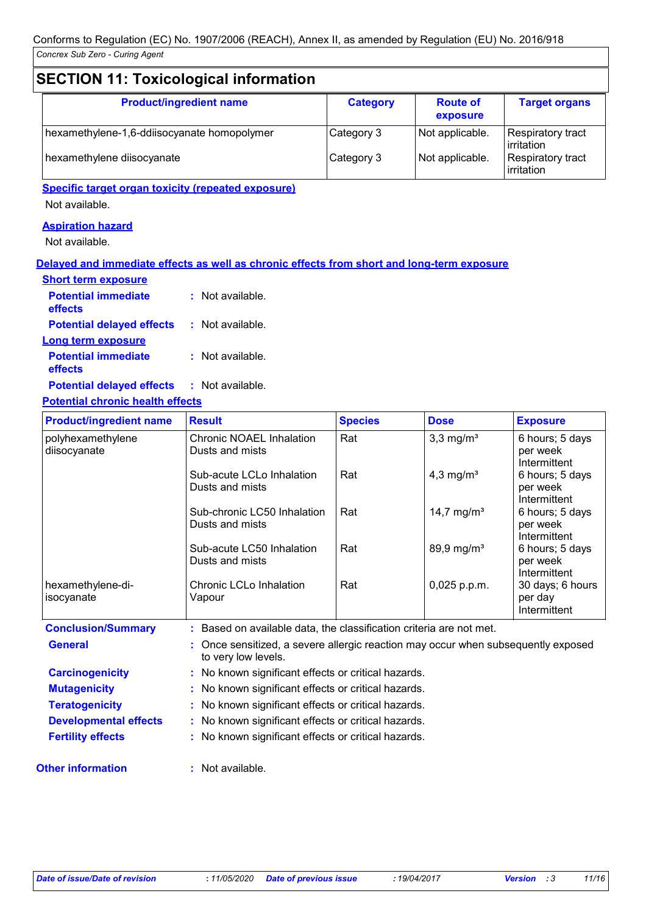# **SECTION 11: Toxicological information**

| <b>Product/ingredient name</b>              | <b>Category</b> | <b>Route of</b><br>exposure | <b>Target organs</b>            |
|---------------------------------------------|-----------------|-----------------------------|---------------------------------|
| hexamethylene-1,6-ddiisocyanate homopolymer | Category 3      | Not applicable.             | Respiratory tract<br>irritation |
| hexamethylene diisocyanate                  | Category 3      | Not applicable.             | Respiratory tract<br>irritation |

## **Specific target organ toxicity (repeated exposure)**

Not available.

## **Aspiration hazard**

Not available.

#### **Delayed and immediate effects as well as chronic effects from short and long-term exposure**

| <b>Short term exposure</b>            |                    |
|---------------------------------------|--------------------|
| <b>Potential immediate</b><br>effects | : Not available.   |
| <b>Potential delayed effects</b>      | : Not available.   |
| Long term exposure                    |                    |
| <b>Potential immediate</b><br>effects | $:$ Not available. |
| <b>Potential delayed effects</b>      | : Not available.   |

#### **Potential chronic health effects**

| <b>Product/ingredient name</b>    | <b>Result</b>                                                                                          | <b>Species</b> | <b>Dose</b>             | <b>Exposure</b>                             |
|-----------------------------------|--------------------------------------------------------------------------------------------------------|----------------|-------------------------|---------------------------------------------|
| polyhexamethylene<br>diisocyanate | Chronic NOAEL Inhalation<br>Dusts and mists                                                            | Rat            | $3,3$ mg/m <sup>3</sup> | 6 hours; 5 days<br>per week<br>Intermittent |
|                                   | Sub-acute LCLo Inhalation<br>Dusts and mists                                                           | Rat            | 4,3 mg/ $m3$            | 6 hours; 5 days<br>per week<br>Intermittent |
|                                   | Sub-chronic LC50 Inhalation<br>Dusts and mists                                                         | Rat            | 14,7 mg/m <sup>3</sup>  | 6 hours; 5 days<br>per week<br>Intermittent |
|                                   | Sub-acute LC50 Inhalation<br>Dusts and mists                                                           | Rat            | 89,9 mg/m <sup>3</sup>  | 6 hours; 5 days<br>per week<br>Intermittent |
| hexamethylene-di-<br>isocyanate   | Chronic LCLo Inhalation<br>Vapour                                                                      | Rat            | 0,025 p.p.m.            | 30 days; 6 hours<br>per day<br>Intermittent |
| <b>Conclusion/Summary</b>         | : Based on available data, the classification criteria are not met.                                    |                |                         |                                             |
| <b>General</b>                    | Once sensitized, a severe allergic reaction may occur when subsequently exposed<br>to very low levels. |                |                         |                                             |
| <b>Carcinogenicity</b>            | : No known significant effects or critical hazards.                                                    |                |                         |                                             |
| <b>Mutagenicity</b>               | : No known significant effects or critical hazards.                                                    |                |                         |                                             |
| <b>Teratogenicity</b>             | : No known significant effects or critical hazards.                                                    |                |                         |                                             |
| <b>Developmental effects</b>      | : No known significant effects or critical hazards.                                                    |                |                         |                                             |
| <b>Fertility effects</b>          | : No known significant effects or critical hazards.                                                    |                |                         |                                             |

**Other information :**

: Not available.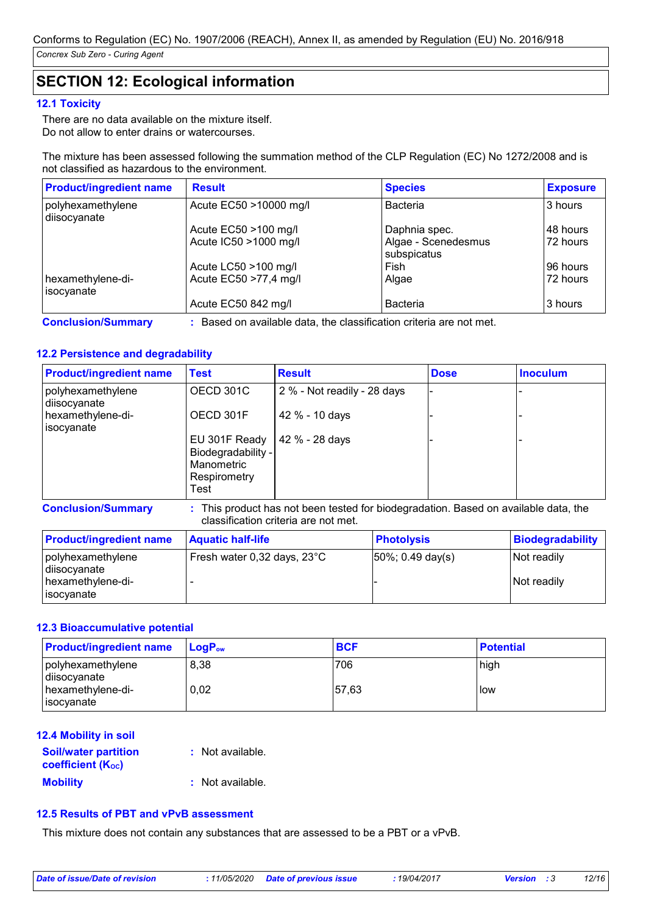# **SECTION 12: Ecological information**

#### **12.1 Toxicity**

There are no data available on the mixture itself. Do not allow to enter drains or watercourses.

The mixture has been assessed following the summation method of the CLP Regulation (EC) No 1272/2008 and is not classified as hazardous to the environment.

| <b>Product/ingredient name</b>    | <b>Result</b>          | <b>Species</b>                     | <b>Exposure</b> |
|-----------------------------------|------------------------|------------------------------------|-----------------|
| polyhexamethylene<br>diisocyanate | Acute EC50 >10000 mg/l | <b>Bacteria</b>                    | 3 hours         |
|                                   | Acute EC50 >100 mg/l   | Daphnia spec.                      | I48 hours       |
|                                   | Acute IC50 >1000 mg/l  | Algae - Scenedesmus<br>subspicatus | 72 hours        |
|                                   | Acute LC50 >100 mg/l   | Fish                               | 196 hours       |
| hexamethylene-di-<br>l isocvanate | Acute EC50 >77,4 mg/l  | Algae                              | 72 hours        |
|                                   | Acute EC50 842 mg/l    | <b>Bacteria</b>                    | 3 hours         |

**Conclusion/Summary :** Based on available data, the classification criteria are not met.

#### **12.2 Persistence and degradability**

| <b>Product/ingredient name</b>    | <b>Test</b>                                                               | <b>Result</b>               | <b>Dose</b> | <b>Inoculum</b> |
|-----------------------------------|---------------------------------------------------------------------------|-----------------------------|-------------|-----------------|
| polyhexamethylene<br>diisocyanate | OECD 301C                                                                 | 2 % - Not readily - 28 days |             |                 |
| hexamethylene-di-<br>isocyanate   | OECD 301F                                                                 | 42 % - 10 days              |             |                 |
|                                   | EU 301F Ready<br>Biodegradability -<br>Manometric<br>Respirometry<br>Test | 42 % - 28 days              |             |                 |

**Conclusion/Summary :** This product has not been tested for biodegradation. Based on available data, the classification criteria are not met.

| <b>Product/ingredient name</b>                                        | <b>Aquatic half-life</b>                | <b>Photolysis</b>             | Biodegradability           |
|-----------------------------------------------------------------------|-----------------------------------------|-------------------------------|----------------------------|
| polyhexamethylene<br>diisocyanate<br>hexamethylene-di-<br>lisocyanate | Fresh water $0,32$ days, $23^{\circ}$ C | $ 50\%; 0.49 \text{ day(s)} $ | Not readily<br>Not readily |

#### **12.3 Bioaccumulative potential**

| <b>Product/ingredient name</b>    | $\mathsf{LogP}_\mathsf{ow}$ | <b>BCF</b> | <b>Potential</b> |
|-----------------------------------|-----------------------------|------------|------------------|
| polyhexamethylene<br>diisocyanate | 8,38                        | 706        | high             |
| hexamethylene-di-<br>l isocvanate | 0.02                        | 57.63      | l low            |

#### **Mobility :** Not available. **12.4 Mobility in soil Soil/water partition coefficient (KOC) :** Not available.

#### **12.5 Results of PBT and vPvB assessment**

This mixture does not contain any substances that are assessed to be a PBT or a vPvB.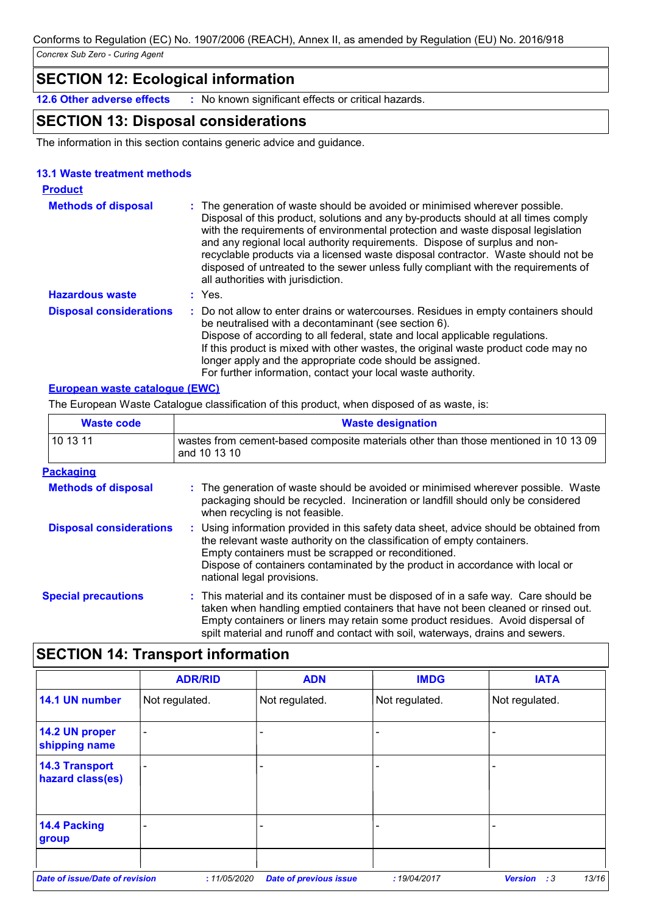# **SECTION 12: Ecological information**

**12.6 Other adverse effects :** No known significant effects or critical hazards.

# **SECTION 13: Disposal considerations**

The information in this section contains generic advice and guidance.

#### **13.1 Waste treatment methods**

| <b>Product</b>                 |                                                                                                                                                                                                                                                                                                                                                                                                                                                                                                                                                      |
|--------------------------------|------------------------------------------------------------------------------------------------------------------------------------------------------------------------------------------------------------------------------------------------------------------------------------------------------------------------------------------------------------------------------------------------------------------------------------------------------------------------------------------------------------------------------------------------------|
| <b>Methods of disposal</b>     | : The generation of waste should be avoided or minimised wherever possible.<br>Disposal of this product, solutions and any by-products should at all times comply<br>with the requirements of environmental protection and waste disposal legislation<br>and any regional local authority requirements. Dispose of surplus and non-<br>recyclable products via a licensed waste disposal contractor. Waste should not be<br>disposed of untreated to the sewer unless fully compliant with the requirements of<br>all authorities with jurisdiction. |
| <b>Hazardous waste</b>         | $:$ Yes.                                                                                                                                                                                                                                                                                                                                                                                                                                                                                                                                             |
| <b>Disposal considerations</b> | : Do not allow to enter drains or watercourses. Residues in empty containers should<br>be neutralised with a decontaminant (see section 6).<br>Dispose of according to all federal, state and local applicable regulations.<br>If this product is mixed with other wastes, the original waste product code may no<br>longer apply and the appropriate code should be assigned.<br>For further information, contact your local waste authority.                                                                                                       |

#### **European waste catalogue (EWC)**

The European Waste Catalogue classification of this product, when disposed of as waste, is:

| <b>Waste code</b>              | <b>Waste designation</b>                                                                                                                                                                                                                                                                                                                     |  |  |  |
|--------------------------------|----------------------------------------------------------------------------------------------------------------------------------------------------------------------------------------------------------------------------------------------------------------------------------------------------------------------------------------------|--|--|--|
| 10 13 11                       | wastes from cement-based composite materials other than those mentioned in 10 13 09<br>and 10 13 10                                                                                                                                                                                                                                          |  |  |  |
| <b>Packaging</b>               |                                                                                                                                                                                                                                                                                                                                              |  |  |  |
| <b>Methods of disposal</b>     | : The generation of waste should be avoided or minimised wherever possible. Waste<br>packaging should be recycled. Incineration or landfill should only be considered<br>when recycling is not feasible.                                                                                                                                     |  |  |  |
| <b>Disposal considerations</b> | : Using information provided in this safety data sheet, advice should be obtained from<br>the relevant waste authority on the classification of empty containers.<br>Empty containers must be scrapped or reconditioned.<br>Dispose of containers contaminated by the product in accordance with local or<br>national legal provisions.      |  |  |  |
| <b>Special precautions</b>     | : This material and its container must be disposed of in a safe way. Care should be<br>taken when handling emptied containers that have not been cleaned or rinsed out.<br>Empty containers or liners may retain some product residues. Avoid dispersal of<br>spilt material and runoff and contact with soil, waterways, drains and sewers. |  |  |  |

# **SECTION 14: Transport information**

|                                           | <b>ADR/RID</b>           | <b>ADN</b>                    | <b>IMDG</b>    | <b>IATA</b>                   |
|-------------------------------------------|--------------------------|-------------------------------|----------------|-------------------------------|
| 14.1 UN number                            | Not regulated.           | Not regulated.                | Not regulated. | Not regulated.                |
| 14.2 UN proper<br>shipping name           | $\overline{\phantom{0}}$ |                               |                |                               |
| <b>14.3 Transport</b><br>hazard class(es) |                          |                               |                |                               |
| 14.4 Packing<br>group                     |                          |                               |                |                               |
| <b>Date of issue/Date of revision</b>     | :11/05/2020              | <b>Date of previous issue</b> | : 19/04/2017   | 13/16<br><b>Version</b><br>:3 |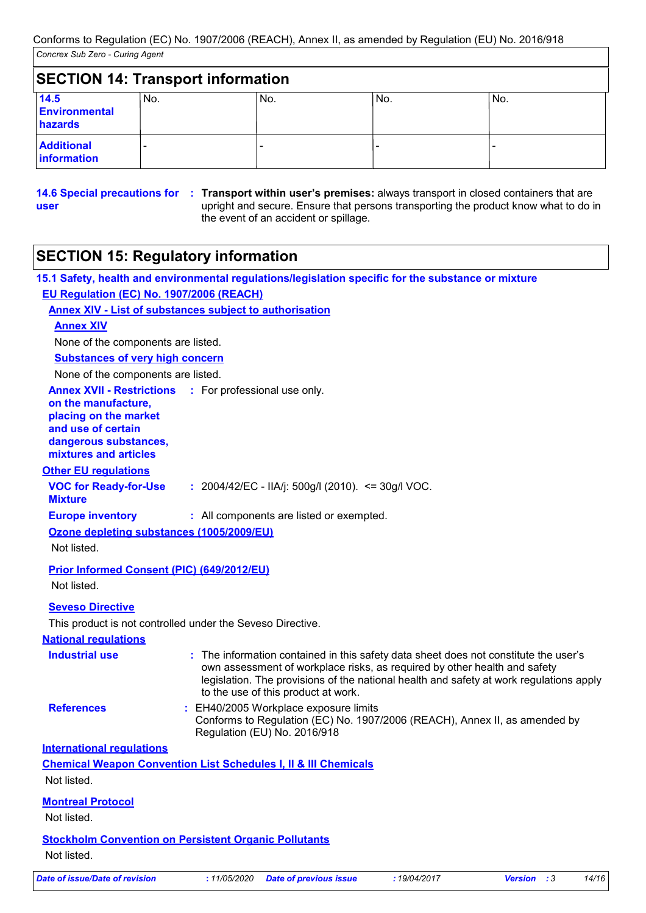|                                  | <b>SECTION 14: Transport information</b> |     |     |     |
|----------------------------------|------------------------------------------|-----|-----|-----|
| 14.5<br>Environmental<br>hazards | No.                                      | No. | No. | No. |
| <b>Additional</b><br>information |                                          |     |     |     |

**14.6 Special precautions for : Transport within user's premises: always transport in closed containers that are user** upright and secure. Ensure that persons transporting the product know what to do in the event of an accident or spillage.

# **SECTION 15: Regulatory information**

|                                                                                                                                                                                       | 15.1 Safety, health and environmental regulations/legislation specific for the substance or mixture                                                                                                                                                                                                 |
|---------------------------------------------------------------------------------------------------------------------------------------------------------------------------------------|-----------------------------------------------------------------------------------------------------------------------------------------------------------------------------------------------------------------------------------------------------------------------------------------------------|
| EU Regulation (EC) No. 1907/2006 (REACH)                                                                                                                                              |                                                                                                                                                                                                                                                                                                     |
| <b>Annex XIV - List of substances subject to authorisation</b>                                                                                                                        |                                                                                                                                                                                                                                                                                                     |
| <b>Annex XIV</b>                                                                                                                                                                      |                                                                                                                                                                                                                                                                                                     |
| None of the components are listed.                                                                                                                                                    |                                                                                                                                                                                                                                                                                                     |
| <b>Substances of very high concern</b>                                                                                                                                                |                                                                                                                                                                                                                                                                                                     |
| None of the components are listed.                                                                                                                                                    |                                                                                                                                                                                                                                                                                                     |
| <b>Annex XVII - Restrictions :</b> For professional use only.<br>on the manufacture,<br>placing on the market<br>and use of certain<br>dangerous substances,<br>mixtures and articles |                                                                                                                                                                                                                                                                                                     |
| <b>Other EU regulations</b>                                                                                                                                                           |                                                                                                                                                                                                                                                                                                     |
| <b>VOC for Ready-for-Use</b><br><b>Mixture</b>                                                                                                                                        | : $2004/42/EC - IIA/j$ : $500g/l$ (2010). <= 30g/l VOC.                                                                                                                                                                                                                                             |
| <b>Europe inventory</b>                                                                                                                                                               | : All components are listed or exempted.                                                                                                                                                                                                                                                            |
| Ozone depleting substances (1005/2009/EU)                                                                                                                                             |                                                                                                                                                                                                                                                                                                     |
| Not listed.                                                                                                                                                                           |                                                                                                                                                                                                                                                                                                     |
| Prior Informed Consent (PIC) (649/2012/EU)                                                                                                                                            |                                                                                                                                                                                                                                                                                                     |
| Not listed.                                                                                                                                                                           |                                                                                                                                                                                                                                                                                                     |
| <b>Seveso Directive</b>                                                                                                                                                               |                                                                                                                                                                                                                                                                                                     |
| This product is not controlled under the Seveso Directive.                                                                                                                            |                                                                                                                                                                                                                                                                                                     |
| <b>National regulations</b>                                                                                                                                                           |                                                                                                                                                                                                                                                                                                     |
| <b>Industrial use</b>                                                                                                                                                                 | : The information contained in this safety data sheet does not constitute the user's<br>own assessment of workplace risks, as required by other health and safety<br>legislation. The provisions of the national health and safety at work regulations apply<br>to the use of this product at work. |
| <b>References</b>                                                                                                                                                                     | : EH40/2005 Workplace exposure limits<br>Conforms to Regulation (EC) No. 1907/2006 (REACH), Annex II, as amended by<br>Regulation (EU) No. 2016/918                                                                                                                                                 |
| <b>International requlations</b>                                                                                                                                                      |                                                                                                                                                                                                                                                                                                     |
| Not listed.                                                                                                                                                                           | <b>Chemical Weapon Convention List Schedules I, II &amp; III Chemicals</b>                                                                                                                                                                                                                          |
| <b>Montreal Protocol</b><br>Not listed.                                                                                                                                               |                                                                                                                                                                                                                                                                                                     |
| <b>Stockholm Convention on Persistent Organic Pollutants</b><br>Not listed.                                                                                                           |                                                                                                                                                                                                                                                                                                     |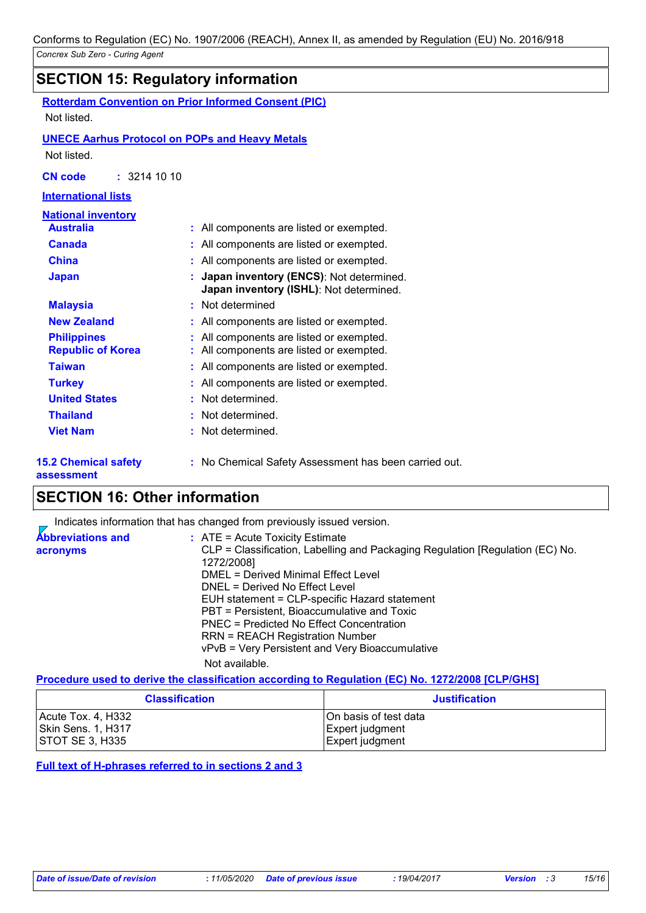# **SECTION 15: Regulatory information**

**Rotterdam Convention on Prior Informed Consent (PIC)** Not listed.

#### **UNECE Aarhus Protocol on POPs and Heavy Metals**

Not listed.

**CN code :** 3214 10 10

#### **International lists**

| National inventory                             |                                                                                    |
|------------------------------------------------|------------------------------------------------------------------------------------|
| <b>Australia</b>                               | : All components are listed or exempted.                                           |
| <b>Canada</b>                                  | : All components are listed or exempted.                                           |
| <b>China</b>                                   | All components are listed or exempted.                                             |
| <b>Japan</b>                                   | Japan inventory (ENCS): Not determined.<br>Japan inventory (ISHL): Not determined. |
| <b>Malaysia</b>                                | : Not determined                                                                   |
| <b>New Zealand</b>                             | All components are listed or exempted.                                             |
| <b>Philippines</b><br><b>Republic of Korea</b> | All components are listed or exempted.<br>All components are listed or exempted.   |
| <b>Taiwan</b>                                  | All components are listed or exempted.                                             |
| <b>Turkey</b>                                  | All components are listed or exempted.                                             |
| <b>United States</b>                           | : Not determined.                                                                  |
| <b>Thailand</b>                                | : Not determined.                                                                  |
| <b>Viet Nam</b>                                | : Not determined.                                                                  |
|                                                |                                                                                    |

**15.2 Chemical safety** 

**:** No Chemical Safety Assessment has been carried out.

#### **assessment**

# **SECTION 16: Other information**

|                                      | Indicates information that has changed from previously issued version.                                                                                                                                                                                                                                                                                                                                                                               |
|--------------------------------------|------------------------------------------------------------------------------------------------------------------------------------------------------------------------------------------------------------------------------------------------------------------------------------------------------------------------------------------------------------------------------------------------------------------------------------------------------|
| <b>Abbreviations and</b><br>acronyms | $\therefore$ ATE = Acute Toxicity Estimate<br>CLP = Classification, Labelling and Packaging Regulation [Regulation (EC) No.<br>1272/2008]<br>DMEL = Derived Minimal Effect Level<br>DNEL = Derived No Effect Level<br>EUH statement = CLP-specific Hazard statement<br>PBT = Persistent, Bioaccumulative and Toxic<br>PNEC = Predicted No Effect Concentration<br>RRN = REACH Registration Number<br>vPvB = Very Persistent and Very Bioaccumulative |
|                                      | Not available.                                                                                                                                                                                                                                                                                                                                                                                                                                       |

#### **Procedure used to derive the classification according to Regulation (EC) No. 1272/2008 [CLP/GHS]**

| <b>Classification</b>  | <b>Justification</b>  |
|------------------------|-----------------------|
| Acute Tox. 4, H332     | On basis of test data |
| Skin Sens. 1, H317     | Expert judgment       |
| <b>STOT SE 3, H335</b> | Expert judgment       |

**Full text of H-phrases referred to in sections 2 and 3**